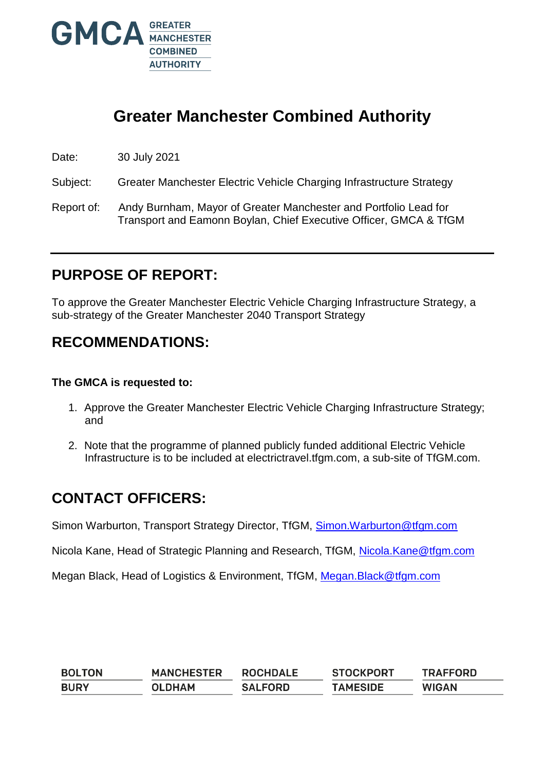

# **Greater Manchester Combined Authority**

Date: 30 July 2021

Subject: Greater Manchester Electric Vehicle Charging Infrastructure Strategy

Report of: Andy Burnham, Mayor of Greater Manchester and Portfolio Lead for Transport and Eamonn Boylan, Chief Executive Officer, GMCA & TfGM

## **PURPOSE OF REPORT:**

To approve the Greater Manchester Electric Vehicle Charging Infrastructure Strategy, a sub-strategy of the Greater Manchester 2040 Transport Strategy

## **RECOMMENDATIONS:**

#### **The GMCA is requested to:**

- 1. Approve the Greater Manchester Electric Vehicle Charging Infrastructure Strategy; and
- 2. Note that the programme of planned publicly funded additional Electric Vehicle Infrastructure is to be included at electrictravel.tfgm.com, a sub-site of TfGM.com.

## **CONTACT OFFICERS:**

Simon Warburton, Transport Strategy Director, TfGM, [Simon.Warburton@tfgm.com](mailto:Simon.Warburton@tfgm.com)

Nicola Kane, Head of Strategic Planning and Research, TfGM, [Nicola.Kane@tfgm.com](mailto:Nicola.Kane@tfgm.com)

Megan Black, Head of Logistics & Environment, TfGM, Megan. Black@tfgm.com

| <b>BOLTON</b> | <b>MANCHESTER</b> | <b>ROCHDALE</b> | <b>STOCKPORT</b> | <b>TRAFFORD</b> |
|---------------|-------------------|-----------------|------------------|-----------------|
| <b>BURY</b>   | <b>OLDHAM</b>     | <b>SALFORD</b>  | <b>TAMESIDE</b>  | <b>WIGAN</b>    |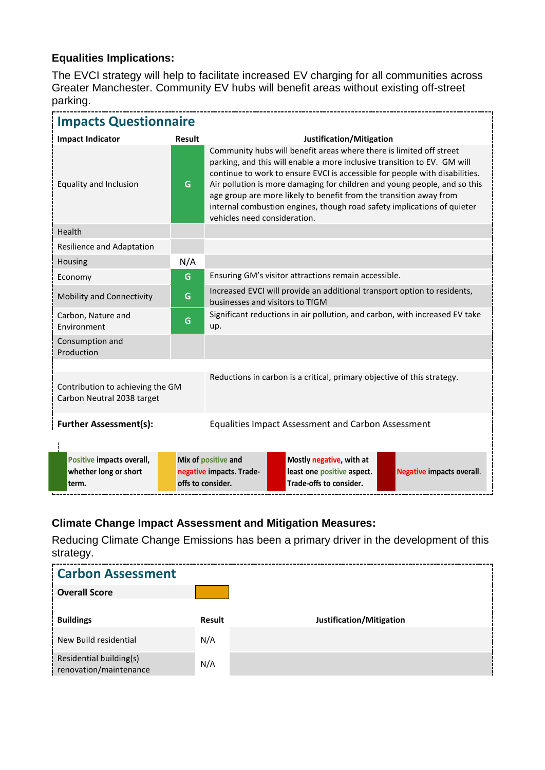### **Equalities Implications:**

The EVCI strategy will help to facilitate increased EV charging for all communities across Greater Manchester. Community EV hubs will benefit areas without existing off-street parking.

| <b>Impacts Questionnaire</b>                                                                                                              |               |                                                                                                                                                                                                                                                                                                                                                                                                                                                                                              |  |  |  |
|-------------------------------------------------------------------------------------------------------------------------------------------|---------------|----------------------------------------------------------------------------------------------------------------------------------------------------------------------------------------------------------------------------------------------------------------------------------------------------------------------------------------------------------------------------------------------------------------------------------------------------------------------------------------------|--|--|--|
| <b>Impact Indicator</b>                                                                                                                   | <b>Result</b> | Justification/Mitigation                                                                                                                                                                                                                                                                                                                                                                                                                                                                     |  |  |  |
| Equality and Inclusion                                                                                                                    | G             | Community hubs will benefit areas where there is limited off street<br>parking, and this will enable a more inclusive transition to EV. GM will<br>continue to work to ensure EVCI is accessible for people with disabilities.<br>Air pollution is more damaging for children and young people, and so this<br>age group are more likely to benefit from the transition away from<br>internal combustion engines, though road safety implications of quieter<br>vehicles need consideration. |  |  |  |
| Health                                                                                                                                    |               |                                                                                                                                                                                                                                                                                                                                                                                                                                                                                              |  |  |  |
| Resilience and Adaptation                                                                                                                 |               |                                                                                                                                                                                                                                                                                                                                                                                                                                                                                              |  |  |  |
| Housing                                                                                                                                   | N/A           |                                                                                                                                                                                                                                                                                                                                                                                                                                                                                              |  |  |  |
| Economy                                                                                                                                   | G             | Ensuring GM's visitor attractions remain accessible.                                                                                                                                                                                                                                                                                                                                                                                                                                         |  |  |  |
| Mobility and Connectivity                                                                                                                 | G             | Increased EVCI will provide an additional transport option to residents,<br>businesses and visitors to TfGM                                                                                                                                                                                                                                                                                                                                                                                  |  |  |  |
| Carbon, Nature and<br>Environment                                                                                                         | G             | Significant reductions in air pollution, and carbon, with increased EV take<br>up.                                                                                                                                                                                                                                                                                                                                                                                                           |  |  |  |
| Consumption and<br>Production                                                                                                             |               |                                                                                                                                                                                                                                                                                                                                                                                                                                                                                              |  |  |  |
|                                                                                                                                           |               |                                                                                                                                                                                                                                                                                                                                                                                                                                                                                              |  |  |  |
| Reductions in carbon is a critical, primary objective of this strategy.<br>Contribution to achieving the GM<br>Carbon Neutral 2038 target |               |                                                                                                                                                                                                                                                                                                                                                                                                                                                                                              |  |  |  |
| <b>Further Assessment(s):</b><br><b>Equalities Impact Assessment and Carbon Assessment</b>                                                |               |                                                                                                                                                                                                                                                                                                                                                                                                                                                                                              |  |  |  |
| Positive impacts overall,<br>whether long or short<br>term.                                                                               |               | Mix of positive and<br>Mostly negative, with at<br>least one positive aspect.<br>negative impacts. Trade-<br><b>Negative impacts overall.</b><br>offs to consider.<br>Trade-offs to consider.                                                                                                                                                                                                                                                                                                |  |  |  |

### **Climate Change Impact Assessment and Mitigation Measures:**

Reducing Climate Change Emissions has been a primary driver in the development of this strategy.

| <b>Carbon Assessment</b>                          |        |                          |
|---------------------------------------------------|--------|--------------------------|
| <b>Coverall Score</b>                             |        |                          |
| <b>Buildings</b>                                  | Result | Justification/Mitigation |
| New Build residential                             | N/A    |                          |
| Residential building(s)<br>renovation/maintenance | N/A    |                          |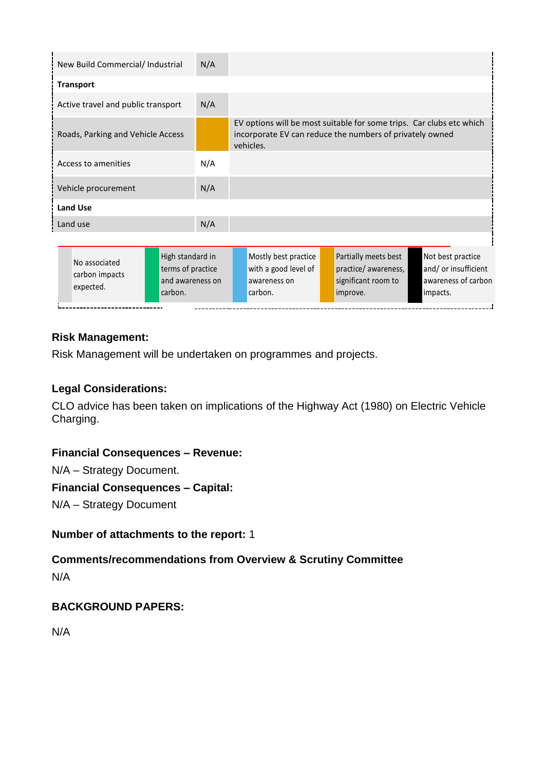| New Build Commercial/ Industrial<br>N/A                                                                              |     |                                                                                                                                               |                                                                                |                                                                              |
|----------------------------------------------------------------------------------------------------------------------|-----|-----------------------------------------------------------------------------------------------------------------------------------------------|--------------------------------------------------------------------------------|------------------------------------------------------------------------------|
| <b>Transport</b>                                                                                                     |     |                                                                                                                                               |                                                                                |                                                                              |
| Active travel and public transport                                                                                   | N/A |                                                                                                                                               |                                                                                |                                                                              |
| Roads, Parking and Vehicle Access                                                                                    |     | EV options will be most suitable for some trips. Car clubs etc which<br>incorporate EV can reduce the numbers of privately owned<br>vehicles. |                                                                                |                                                                              |
| N/A<br>Access to amenities                                                                                           |     |                                                                                                                                               |                                                                                |                                                                              |
| Vehicle procurement                                                                                                  | N/A |                                                                                                                                               |                                                                                |                                                                              |
| <b>Land Use</b>                                                                                                      |     |                                                                                                                                               |                                                                                |                                                                              |
| Land use                                                                                                             | N/A |                                                                                                                                               |                                                                                |                                                                              |
|                                                                                                                      |     |                                                                                                                                               |                                                                                |                                                                              |
| High standard in<br>No associated<br>terms of practice<br>carbon impacts<br>and awareness on<br>expected.<br>carbon. |     | Mostly best practice<br>with a good level of<br>awareness on<br>carbon.                                                                       | Partially meets best<br>practice/awareness,<br>significant room to<br>improve. | Not best practice<br>and/ or insufficient<br>awareness of carbon<br>impacts. |

### **Risk Management:**

Risk Management will be undertaken on programmes and projects.

#### **Legal Considerations:**

CLO advice has been taken on implications of the Highway Act (1980) on Electric Vehicle Charging.

#### **Financial Consequences – Revenue:**

N/A – Strategy Document.

#### **Financial Consequences – Capital:**

N/A – Strategy Document

#### **Number of attachments to the report:** 1

### **Comments/recommendations from Overview & Scrutiny Committee**  N/A

### **BACKGROUND PAPERS:**

N/A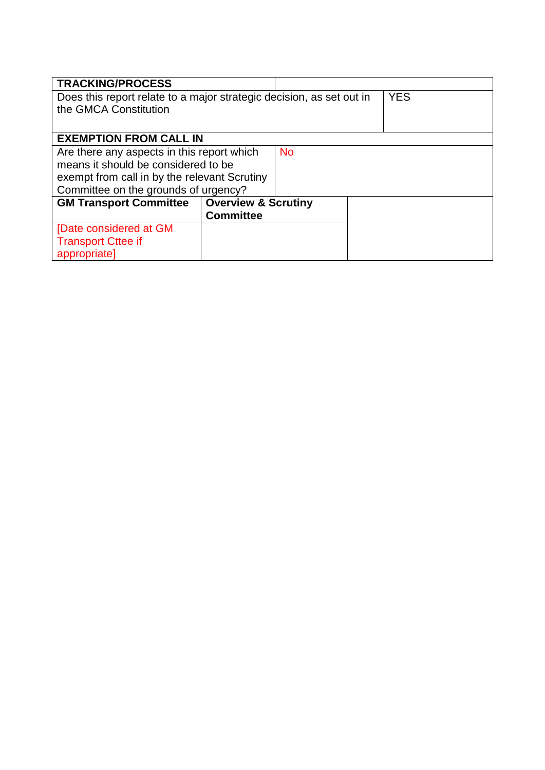| <b>TRACKING/PROCESS</b>                                              |                                |  |  |  |
|----------------------------------------------------------------------|--------------------------------|--|--|--|
| Does this report relate to a major strategic decision, as set out in | <b>YES</b>                     |  |  |  |
| the GMCA Constitution                                                |                                |  |  |  |
|                                                                      |                                |  |  |  |
| <b>EXEMPTION FROM CALL IN</b>                                        |                                |  |  |  |
| Are there any aspects in this report which<br><b>No</b>              |                                |  |  |  |
| means it should be considered to be                                  |                                |  |  |  |
| exempt from call in by the relevant Scrutiny                         |                                |  |  |  |
| Committee on the grounds of urgency?                                 |                                |  |  |  |
| <b>GM Transport Committee</b>                                        | <b>Overview &amp; Scrutiny</b> |  |  |  |
|                                                                      | <b>Committee</b>               |  |  |  |
| [Date considered at GM                                               |                                |  |  |  |
| <b>Transport Cttee if</b>                                            |                                |  |  |  |
| appropriate]                                                         |                                |  |  |  |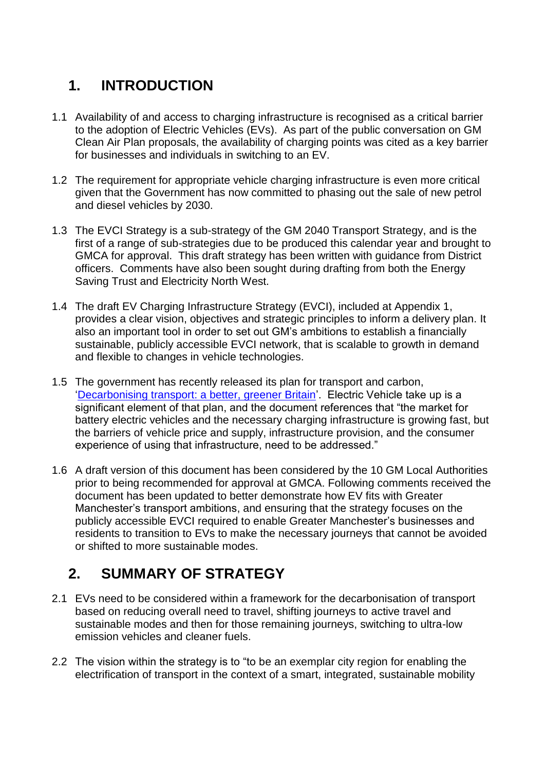## **1. INTRODUCTION**

- 1.1 Availability of and access to charging infrastructure is recognised as a critical barrier to the adoption of Electric Vehicles (EVs). As part of the public conversation on GM Clean Air Plan proposals, the availability of charging points was cited as a key barrier for businesses and individuals in switching to an EV.
- 1.2 The requirement for appropriate vehicle charging infrastructure is even more critical given that the Government has now committed to phasing out the sale of new petrol and diesel vehicles by 2030.
- 1.3 The EVCI Strategy is a sub-strategy of the GM 2040 Transport Strategy, and is the first of a range of sub-strategies due to be produced this calendar year and brought to GMCA for approval. This draft strategy has been written with guidance from District officers. Comments have also been sought during drafting from both the Energy Saving Trust and Electricity North West.
- 1.4 The draft EV Charging Infrastructure Strategy (EVCI), included at Appendix 1, provides a clear vision, objectives and strategic principles to inform a delivery plan. It also an important tool in order to set out GM's ambitions to establish a financially sustainable, publicly accessible EVCI network, that is scalable to growth in demand and flexible to changes in vehicle technologies.
- 1.5 The government has recently released its plan for transport and carbon, ['Decarbonising transport: a better, greener Britain'](https://assets.publishing.service.gov.uk/government/uploads/system/uploads/attachment_data/file/1002285/decarbonising-transport-a-better-greener-britain.pdf). Electric Vehicle take up is a significant element of that plan, and the document references that "the market for battery electric vehicles and the necessary charging infrastructure is growing fast, but the barriers of vehicle price and supply, infrastructure provision, and the consumer experience of using that infrastructure, need to be addressed."
- 1.6 A draft version of this document has been considered by the 10 GM Local Authorities prior to being recommended for approval at GMCA. Following comments received the document has been updated to better demonstrate how EV fits with Greater Manchester's transport ambitions, and ensuring that the strategy focuses on the publicly accessible EVCI required to enable Greater Manchester's businesses and residents to transition to EVs to make the necessary journeys that cannot be avoided or shifted to more sustainable modes.

## **2. SUMMARY OF STRATEGY**

- 2.1 EVs need to be considered within a framework for the decarbonisation of transport based on reducing overall need to travel, shifting journeys to active travel and sustainable modes and then for those remaining journeys, switching to ultra-low emission vehicles and cleaner fuels.
- 2.2 The vision within the strategy is to "to be an exemplar city region for enabling the electrification of transport in the context of a smart, integrated, sustainable mobility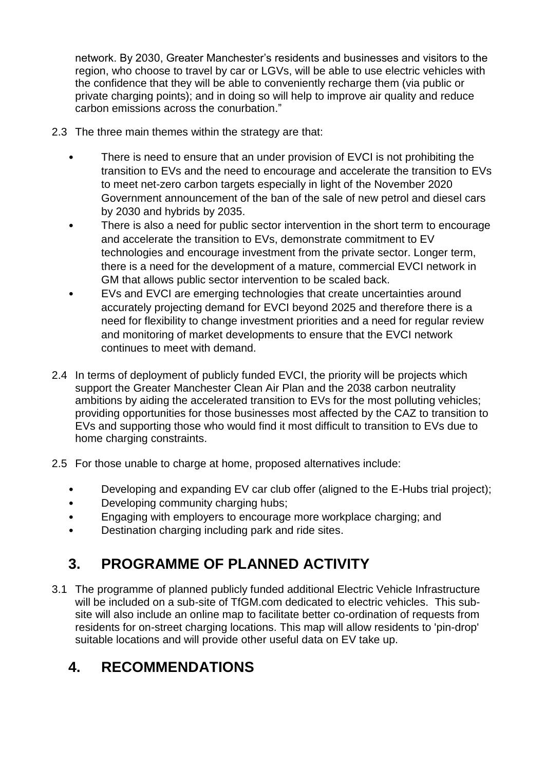network. By 2030, Greater Manchester's residents and businesses and visitors to the region, who choose to travel by car or LGVs, will be able to use electric vehicles with the confidence that they will be able to conveniently recharge them (via public or private charging points); and in doing so will help to improve air quality and reduce carbon emissions across the conurbation."

- 2.3 The three main themes within the strategy are that:
	- There is need to ensure that an under provision of EVCI is not prohibiting the transition to EVs and the need to encourage and accelerate the transition to EVs to meet net-zero carbon targets especially in light of the November 2020 Government announcement of the ban of the sale of new petrol and diesel cars by 2030 and hybrids by 2035.
	- There is also a need for public sector intervention in the short term to encourage and accelerate the transition to EVs, demonstrate commitment to EV technologies and encourage investment from the private sector. Longer term, there is a need for the development of a mature, commercial EVCI network in GM that allows public sector intervention to be scaled back.
	- EVs and EVCI are emerging technologies that create uncertainties around accurately projecting demand for EVCI beyond 2025 and therefore there is a need for flexibility to change investment priorities and a need for regular review and monitoring of market developments to ensure that the EVCI network continues to meet with demand.
- 2.4 In terms of deployment of publicly funded EVCI, the priority will be projects which support the Greater Manchester Clean Air Plan and the 2038 carbon neutrality ambitions by aiding the accelerated transition to EVs for the most polluting vehicles; providing opportunities for those businesses most affected by the CAZ to transition to EVs and supporting those who would find it most difficult to transition to EVs due to home charging constraints.
- 2.5 For those unable to charge at home, proposed alternatives include:
	- Developing and expanding EV car club offer (aligned to the E-Hubs trial project);
	- Developing community charging hubs;
	- Engaging with employers to encourage more workplace charging; and
	- Destination charging including park and ride sites.

# **3. PROGRAMME OF PLANNED ACTIVITY**

3.1 The programme of planned publicly funded additional Electric Vehicle Infrastructure will be included on a sub-site of TfGM.com dedicated to electric vehicles. This subsite will also include an online map to facilitate better co-ordination of requests from residents for on-street charging locations. This map will allow residents to 'pin-drop' suitable locations and will provide other useful data on EV take up.

# **4. RECOMMENDATIONS**